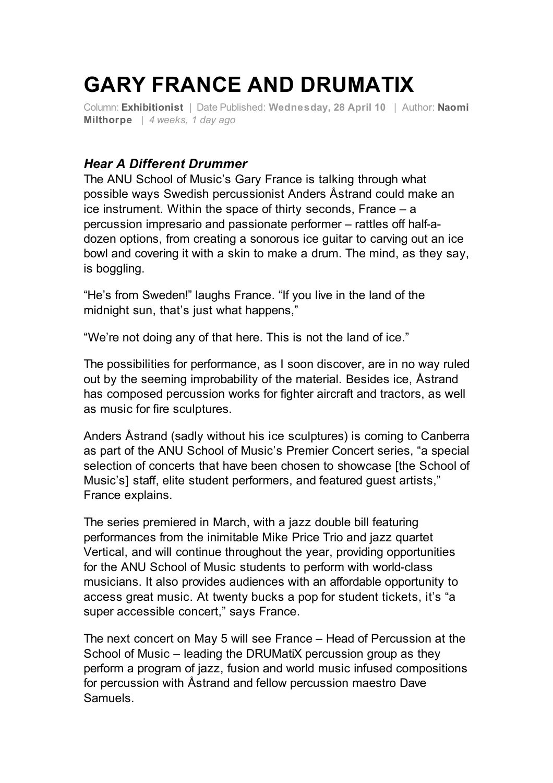## **GARY FRANCE AND DRUMATIX**

Column: **Exhibitionist** | Date Published: **Wednesday, 28 April 10** | Author: **Naomi Milthorpe** | *4 weeks, 1 day ago*

## *Hear A Different Drummer*

The ANU School of Music's Gary France is talking through what possible ways Swedish percussionist Anders Åstrand could make an ice instrument. Within the space of thirty seconds, France – a percussion impresario and passionate performer – rattles off half-adozen options, from creating a sonorous ice guitar to carving out an ice bowl and covering it with a skin to make a drum. The mind, as they say, is boggling.

"He's from Sweden!" laughs France. "If you live in the land of the midnight sun, that's just what happens,"

"We're not doing any of that here. This is not the land of ice."

The possibilities for performance, as I soon discover, are in no way ruled out by the seeming improbability of the material. Besides ice, Åstrand has composed percussion works for fighter aircraft and tractors, as well as music for fire sculptures.

Anders Åstrand (sadly without his ice sculptures) is coming to Canberra as part of the ANU School of Music's Premier Concert series, "a special selection of concerts that have been chosen to showcase [the School of Music's] staff, elite student performers, and featured guest artists," France explains.

The series premiered in March, with a jazz double bill featuring performances from the inimitable Mike Price Trio and jazz quartet Vertical, and will continue throughout the year, providing opportunities for the ANU School of Music students to perform with world-class musicians. It also provides audiences with an affordable opportunity to access great music. At twenty bucks a pop for student tickets, it's "a super accessible concert," says France.

The next concert on May 5 will see France – Head of Percussion at the School of Music – leading the DRUMatiX percussion group as they perform a program of jazz, fusion and world music infused compositions for percussion with Åstrand and fellow percussion maestro Dave Samuels.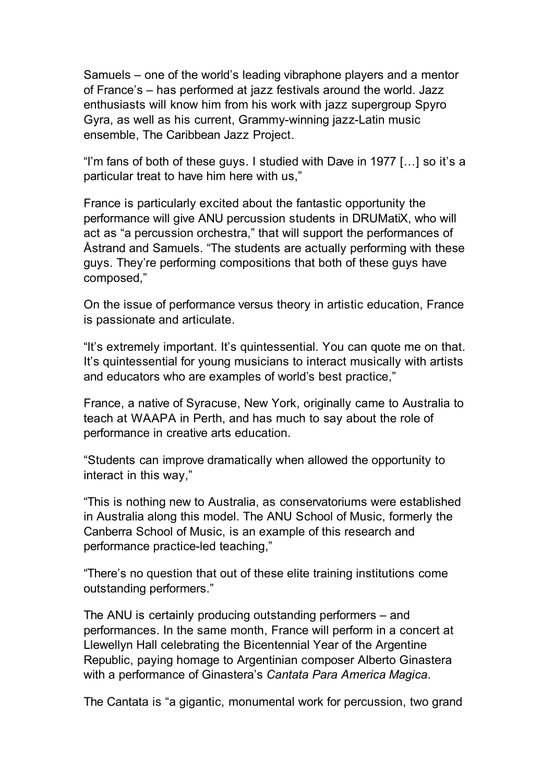Samuels – one of the world's leading vibraphone players and a mentor of France's – has performed at jazz festivals around the world. Jazz enthusiasts will know him from his work with jazz supergroup Spyro Gyra, as well as his current, Grammy-winning jazz-Latin music ensemble, The Caribbean Jazz Project.

"I'm fans of both of these guys. I studied with Dave in 1977 […] so it's a particular treat to have him here with us,"

France is particularly excited about the fantastic opportunity the performance will give ANU percussion students in DRUMatiX, who will act as "a percussion orchestra," that will support the performances of Åstrand and Samuels. "The students are actually performing with these guys. They're performing compositions that both of these guys have composed,"

On the issue of performance versus theory in artistic education, France is passionate and articulate.

"It's extremely important. It's quintessential. You can quote me on that. It's quintessential for young musicians to interact musically with artists and educators who are examples of world's best practice,"

France, a native of Syracuse, New York, originally came to Australia to teach at WAAPA in Perth, and has much to say about the role of performance in creative arts education.

"Students can improve dramatically when allowed the opportunity to interact in this way,"

"This is nothing new to Australia, as conservatoriums were established in Australia along this model. The ANU School of Music, formerly the Canberra School of Music, is an example of this research and performance practice-led teaching,"

"There's no question that out of these elite training institutions come outstanding performers."

The ANU is certainly producing outstanding performers – and performances. In the same month, France will perform in a concert at Llewellyn Hall celebrating the Bicentennial Year of the Argentine Republic, paying homage to Argentinian composer Alberto Ginastera with a performance of Ginastera's *Cantata Para America Magica*.

The Cantata is "a gigantic, monumental work for percussion, two grand